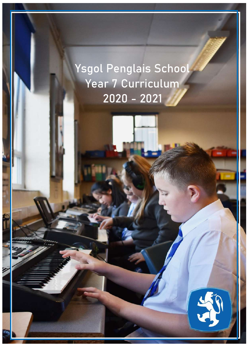Ysgol Penglais School Year 7 Curriculum 2020 - 2021

This booklet is a implementation of the relevant information about the relevant information about the curriculum in Year 7 and to give you vital guidance regarding key pieces of work, homework guidance

and key dates.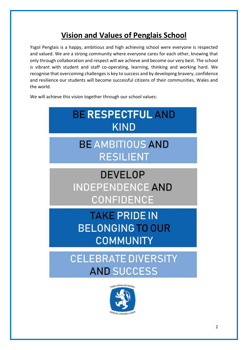# **Vision and Values of Penglais School**

Ysgol Penglais is a happy, ambitious and high achieving school were everyone is respected and valued. We are a strong community where everyone cares for each other, knowing that only through collaboration and respect will we achieve and become our very best. The school is vibrant with student and staff co-operating, learning, thinking and working hard. We recognise that overcoming challenges is key to success and by developing bravery, confidence and resilience our students will become successful citizens of their communities, Wales and the world.

We will achieve this vision together through our school values:



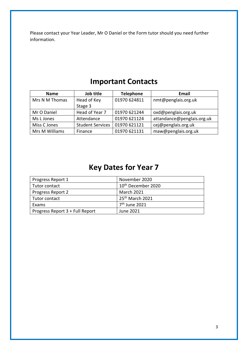Please contact your Year Leader, Mr O Daniel or the Form tutor should you need further information.

| <b>Name</b>    | Job title               | <b>Telephone</b> | Email                      |
|----------------|-------------------------|------------------|----------------------------|
| Mrs N M Thomas | Head of Key             | 01970 624811     | nmt@penglais.org.uk        |
|                | Stage 3                 |                  |                            |
| Mr O Daniel    | Head of Year 7          | 01970 621244     | oxd@penglais.org.uk        |
| Ms L Jones     | Attendance              | 01970 621124     | attandance@penglais.org.uk |
| Miss C Jones   | <b>Student Services</b> | 01970 621121     | cej@penglais.org.uk        |
| Mrs M Williams | Finance                 | 01970 621131     | maw@penglais.org.uk        |

# **Important Contacts**

# **Key Dates for Year 7**

| Progress Report 1               | November 2020                  |
|---------------------------------|--------------------------------|
| Tutor contact                   | 10 <sup>th</sup> December 2020 |
| Progress Report 2               | <b>March 2021</b>              |
| Tutor contact                   | 25 <sup>th</sup> March 2021    |
| Exams                           | 7 <sup>th</sup> June 2021      |
| Progress Report 3 + Full Report | June 2021                      |
|                                 |                                |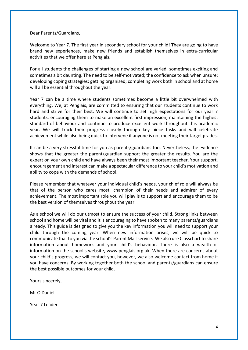Dear Parents/Guardians,

Welcome to Year 7. The first year in secondary school for your child! They are going to have brand new experiences, make new friends and establish themselves in extra-curricular activities that we offer here at Penglais.

For all students the challenges of starting a new school are varied, sometimes exciting and sometimes a bit daunting. The need to be self-motivated; the confidence to ask when unsure; developing coping strategies; getting organised; completing work both in school and at home will all be essential throughout the year.

Year 7 can be a time where students sometimes become a little bit overwhelmed with everything. We, at Penglais, are committed to ensuring that our students continue to work hard and strive for their best. We will continue to set high expectations for our year 7 students, encouraging them to make an excellent first impression, maintaining the highest standard of behaviour and continue to produce excellent work throughout this academic year. We will track their progress closely through key piece tasks and will celebrate achievement while also being quick to intervene if anyone is not meeting their target grades.

It can be a very stressful time for you as parents/guardians too. Nevertheless, the evidence shows that the greater the parent/guardian support the greater the results. You are the expert on your own child and have always been their most important teacher. Your support, encouragement and interest can make a spectacular difference to your child's motivation and ability to cope with the demands of school.

Please remember that whatever your individual child's needs, your chief role will always be that of the person who cares most, champion of their needs and admirer of every achievement. The most important role you will play is to support and encourage them to be the best version of themselves throughout the year.

As a school we will do our utmost to ensure the success of your child. Strong links between school and home will be vital and it is encouraging to have spoken to many parents/guardians already. This guide is designed to give you the key information you will need to support your child through the coming year. When new information arises, we will be quick to communicate that to you via the school's Parent Mail service. We also use Classchart to share information about homework and your child's behaviour. There is also a wealth of information on the school's website, www.penglais.org.uk. When there are concerns about your child's progress, we will contact you, however, we also welcome contact from home if you have concerns. By working together both the school and parents/guardians can ensure the best possible outcomes for your child.

Yours sincerely,

Mr O Daniel

Year 7 Leader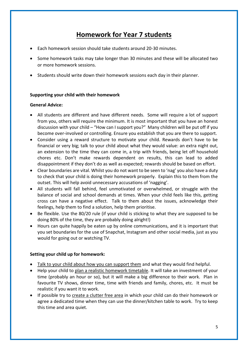### **Homework for Year 7 students**

- Each homework session should take students around 20-30 minutes.
- Some homework tasks may take longer than 30 minutes and these will be allocated two or more homework sessions.
- Students should write down their homework sessions each day in their planner.

#### **Supporting your child with their homework**

#### **General Advice:**

- All students are different and have different needs. Some will require a lot of support from you, others will require the minimum. It is most important that you have an honest discussion with your child – "How can I support you?" Many children will be put off if you become over-involved or controlling. Ensure you establish that you are there to support.
- Consider using a reward structure to motivate your child. Rewards don't have to be financial or very big; talk to your child about what they would value: an extra night out, an extension to the time they can come in, a trip with friends, being let off household chores etc. Don't make rewards dependent on results, this can lead to added disappointment if they don't do as well as expected; rewards should be based on effort.
- Clear boundaries are vital. Whilst you do not want to be seen to 'nag' you also have a duty to check that your child is doing their homework properly. Explain this to them from the outset. This will help avoid unnecessary accusations of 'nagging'.
- All students will fall behind, feel unmotivated or overwhelmed, or struggle with the balance of social and school demands at times. When your child feels like this, getting cross can have a negative effect. Talk to them about the issues, acknowledge their feelings, help them to find a solution, help them prioritise.
- Be flexible. Use the 80/20 rule (if your child is sticking to what they are supposed to be doing 80% of the time, they are probably doing alright!)
- Hours can quite happily be eaten up by online communications, and it is important that you set boundaries for the use of Snapchat, Instagram and other social media, just as you would for going out or watching TV.

#### **Setting your child up for homework:**

- Talk to your child about how you can support them and what they would find helpful.
- Help your child to plan a realistic homework timetable. It will take an investment of your time (probably an hour or so), but it will make a big difference to their work. Plan in favourite TV shows, dinner time, time with friends and family, chores, etc. It must be realistic if you want it to work.
- If possible try to create a clutter free area in which your child can do their homework or agree a dedicated time when they can use the dinner/kitchen table to work. Try to keep this time and area quiet.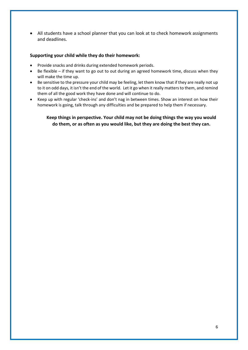• All students have a school planner that you can look at to check homework assignments and deadlines.

#### **Supporting your child while they do their homework:**

- Provide snacks and drinks during extended homework periods.
- Be flexible if they want to go out to out during an agreed homework time, discuss when they will make the time up.
- Be sensitive to the pressure your child may be feeling, let them know that if they are really not up to it on odd days, it isn't the end of the world. Let it go when it really matters to them, and remind them of all the good work they have done and will continue to do.
- Keep up with regular 'check-ins' and don't nag in between times. Show an interest on how their homework is going, talk through any difficulties and be prepared to help them if necessary.

**Keep things in perspective. Your child may not be doing things the way you would do them, or as often as you would like, but they are doing the best they can.**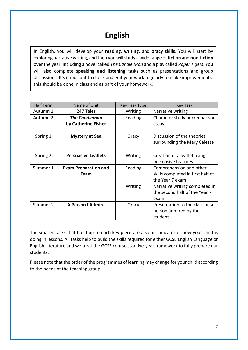# **English**

In English, you will develop your **reading**, **writing**, and **oracy skills**. You will start by exploring narrative writing, and then you will study a wide range of **fiction** and **non-fiction** over the year, including a novel called *The Candle Man* and a play called *Paper Tigers*. You will also complete **speaking and listening** tasks such as presentations and group discussions. It's important to check and edit your work regularly to make improvements; this should be done in class and as part of your homework.

| <b>Half Term</b> | Name of Unit                | <b>Key Task Type</b> | <b>Key Task</b>                   |
|------------------|-----------------------------|----------------------|-----------------------------------|
| Autumn 1         | 247 Tales                   | Writing              | Narrative writing                 |
| Autumn 2         | <b>The Candleman</b>        | Reading              | Character study or comparison     |
|                  | by Catherine Fisher         |                      | essay                             |
|                  |                             |                      |                                   |
| Spring 1         | <b>Mystery at Sea</b>       | Oracy                | Discussion of the theories        |
|                  |                             |                      | surrounding the Mary Celeste      |
|                  |                             |                      |                                   |
| Spring 2         | <b>Persuasive Leaflets</b>  | Writing              | Creation of a leaflet using       |
|                  |                             |                      | persuasive features               |
| Summer 1         | <b>Exam Preparation and</b> | Reading              | Comprehension and other           |
|                  | Exam                        |                      | skills completed in first half of |
|                  |                             |                      | the Year 7 exam                   |
|                  |                             | Writing              | Narrative writing completed in    |
|                  |                             |                      | the second half of the Year 7     |
|                  |                             |                      | exam                              |
| Summer 2         | <b>A Person I Admire</b>    | Oracy                | Presentation to the class on a    |
|                  |                             |                      | person admired by the             |
|                  |                             |                      | student                           |

The smaller tasks that build up to each key piece are also an indicator of how your child is doing in lessons. All tasks help to build the skills required for either GCSE English Language or English Literature and we treat the GCSE course as a five-year framework to fully prepare our students.

Please note that the order of the programmes of learning may change for your child according to the needs of the teaching group.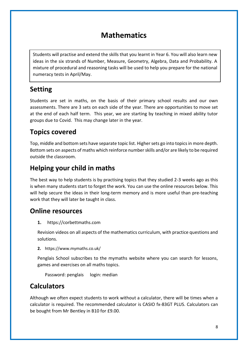### **Mathematics**

Students will practise and extend the skills that you learnt in Year 6. You will also learn new ideas in the six strands of Number, Measure, Geometry, Algebra, Data and Probability. A mixture of procedural and reasoning tasks will be used to help you prepare for the national numeracy tests in April/May.

### **Setting**

Students are set in maths, on the basis of their primary school results and our own assessments. There are 3 sets on each side of the year. There are opportunities to move set at the end of each half term. This year, we are starting by teaching in mixed ability tutor groups due to Covid. This may change later in the year.

### **Topics covered**

Top, middle and bottom sets have separate topic list. Higher sets go into topics in more depth. Bottom sets on aspects of maths which reinforce number skills and/or are likely to be required outside the classroom.

### **Helping your child in maths**

The best way to help students is by practising topics that they studied 2-3 weeks ago as this is when many students start to forget the work. You can use the online resources below. This will help secure the ideas in their long-term memory and is more useful than pre-teaching work that they will later be taught in class.

### **Online resources**

**1.** https://corbettmaths.com

Revision videos on all aspects of the mathematics curriculum, with practice questions and solutions.

**2.** https://www.mymaths.co.uk/

Penglais School subscribes to the mymaths website where you can search for lessons, games and exercises on all maths topics.

Password: penglais login: median

### **Calculators**

Although we often expect students to work without a calculator, there will be times when a calculator is required. The recommended calculator is CASIO fx-83GT PLUS. Calculators can be bought from Mr Bentley in B10 for £9.00.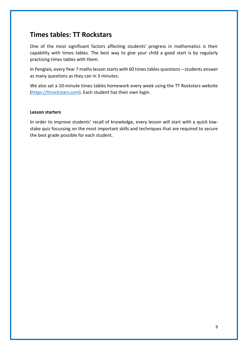### **Times tables: TT Rockstars**

One of the most significant factors affecting students' progress in mathematics is their capability with times tables. The best way to give your child a good start is by regularly practising times tables with them.

In Penglais, every Year 7 maths lesson starts with 60 times tables questions – students answer as many questions as they can in 3 minutes.

We also set a 10-minute times tables homework every week using the TT Rockstars website [\(https://ttrockstars.com\)](https://ttrockstars.com/). Each student has their own login.

#### **Lesson starters**

In order to improve students' recall of knowledge, every lesson will start with a quick lowstake quiz focussing on the most important skills and techniques that are required to secure the best grade possible for each student.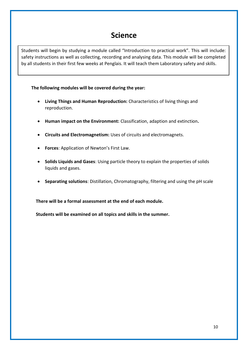### **Science**

Students will begin by studying a module called "Introduction to practical work". This will include: safety instructions as well as collecting, recording and analysing data. This module will be completed by all students in their first few weeks at Penglais. It will teach them Laboratory safety and skills.

#### **The following modules will be covered during the year:**

- **Living Things and Human Reproduction:** Characteristics of living things and reproduction.
- **Human impact on the Environment:** Classification, adaption and extinction**.**
- **Circuits and Electromagnetism:** Uses of circuits and electromagnets.
- **Forces**: Application of Newton's First Law.
- **Solids Liquids and Gases**: Using particle theory to explain the properties of solids liquids and gases.
- **Separating solutions**: Distillation, Chromatography, filtering and using the pH scale

**There will be a formal assessment at the end of each module.**

**Students will be examined on all topics and skills in the summer.**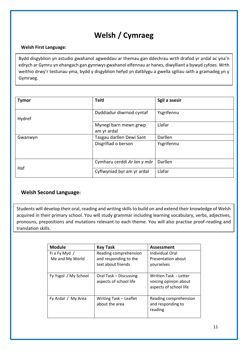# **Welsh / Cymraeg**

#### **Welsh First Language:**

Bydd disgyblion yn astudio gwahanol agweddau ar themau gan ddechrau wrth drafod yr ardal ac yna'n edrych ar Gymru yn ehangach gan gynnwys gwahanol elfennau ar hanes, diwylliant a bywyd cyfoes. Wrth weithio drwy'r testunau yma, bydd y disgyblion hefyd yn datblygu a gwella sgiliau iaith a gramadeg yn y Gymraeg.

| <b>Tymor</b> | <b>Teitl</b>                         | Sgil a asesir |
|--------------|--------------------------------------|---------------|
| Hydref       | Dyddiadur diwrnod cyntaf             | Ysgrifennu    |
|              | Mynegi barn mewn grwp<br>am yr ardal | Llafar        |
| Gwanwyn      | Tasgau darllen Dewi Sant             | Darllen       |
|              | Disgrifiad o berson                  | Ysgrifennu    |
|              | Cymharu cerddi Ar lan y môr          | Darllen       |
| Haf          | Cyflwyniad byr am yr ardal           | Llafar        |

#### **Welsh Second Language:**

Students will develop their oral, reading and writing skills to build on and extend their knowledge of Welsh acquired in their primary school. You will study grammar including learning vocabulary, verbs, adjectives, pronouns, prepositions and mutations relevant to each theme. You will also practise proof-reading and translation skills.

| <b>Module</b>                    | <b>Key Task</b>                                                      | <b>Assessment</b>                                                        |
|----------------------------------|----------------------------------------------------------------------|--------------------------------------------------------------------------|
| Fi a Fy Myd /<br>Me and My World | Reading comprehension<br>and responding to the<br>text about friends | Individual Oral<br>Presentation about<br>yourselves                      |
| Fy Ysgol / My School             | Oral Task - Discussing<br>aspects of school life                     | Written Task - Letter<br>voicing opinion about<br>aspects of school life |
| Fy Ardal / My Area               | Writing Task - Leaflet<br>about the area                             | Reading comprehension<br>and responding to<br>reading                    |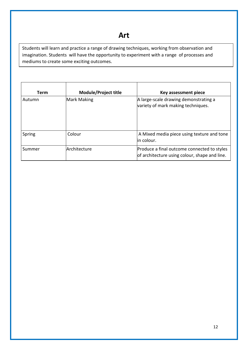## **Art**

Students will learn and practice a range of drawing techniques, working from observation and imagination. Students will have the opportunity to experiment with a range of processes and mediums to create some exciting outcomes.

| <b>Term</b> | Module/Project title | Key assessment piece                                                                         |
|-------------|----------------------|----------------------------------------------------------------------------------------------|
| Autumn      | Mark Making          | A large-scale drawing demonstrating a<br>variety of mark making techniques.                  |
| Spring      | Colour               | A Mixed media piece using texture and tone<br>lin colour.                                    |
| Summer      | Architecture         | Produce a final outcome connected to styles<br>of architecture using colour, shape and line. |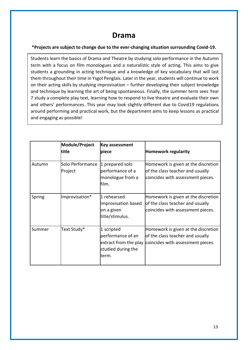### **Drama**

#### **\*Projects are subject to change due to the ever-changing situation surrounding Covid-19.**

Students learn the basics of Drama and Theatre by studying solo performance in the Autumn term with a focus on film monologues and a naturalistic style of acting. This aims to give students a grounding in acting technique and a knowledge of key vocabulary that will last them throughout their time in Ysgol Penglais. Later in the year, students will continue to work on their acting skills by studying improvisation – further developing their subject knowledge and technique by learning the art of being spontaneous. Finally, the summer term sees Year 7 study a complete play text, learning how to respond to live theatre and evaluate their own and others' performances. This year may look slightly different due to Covid19 regulations around performing and practical work, but the department aims to keep lessons as practical and engaging as possible!

|        | Module/Project<br>ltitle    | <b>Key assessment</b><br>piece                                                           | <b>Homework regularity</b>                                                                                   |
|--------|-----------------------------|------------------------------------------------------------------------------------------|--------------------------------------------------------------------------------------------------------------|
| Autumn | Solo Performance<br>Project | 1 prepared solo<br>performance of a<br>monologue from a<br>film.                         | Homework is given at the discretion<br>of the class teacher and usually<br>coincides with assessment pieces. |
| Spring | Improvisation*              | 1 rehearsed<br>improvisation based<br>on a given<br>title/stimulus.                      | Homework is given at the discretion<br>of the class teacher and usually<br>coincides with assessment pieces. |
| Summer | Text Study*                 | 1 scripted<br>performance of an<br>extract from the play<br>studied during the<br>lterm. | Homework is given at the discretion<br>of the class teacher and usually<br>coincides with assessment pieces. |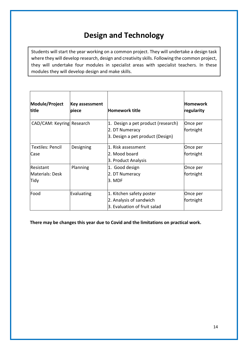# **Design and Technology**

Students will start the year working on a common project. They will undertake a design task where they will develop research, design and creativity skills. Following the common project, they will undertake four modules in specialist areas with specialist teachers. In these modules they will develop design and make skills.

| Module/Project<br>title                     | Key assessment<br>piece | <b>Homework title</b>                                                                    | <b>Homework</b><br>regularity |
|---------------------------------------------|-------------------------|------------------------------------------------------------------------------------------|-------------------------------|
| CAD/CAM: Keyring Research                   |                         | 1. Design a pet product (research)<br>2. DT Numeracy<br>3. Design a pet product (Design) | Once per<br>fortnight         |
| <b>Textiles: Pencil</b><br>Case             | Designing               | 1. Risk assessment<br>2. Mood board<br>3. Product Analysis                               | Once per<br>fortnight         |
| <b>Resistant</b><br>Materials: Desk<br>Tidy | Planning                | 1. Good design<br>2. DT Numeracy<br>3. MDF                                               | Once per<br>fortnight         |
| Food                                        | Evaluating              | 1. Kitchen safety poster<br>2. Analysis of sandwich<br>3. Evaluation of fruit salad      | Once per<br>fortnight         |

**There may be changes this year due to Covid and the limitations on practical work.**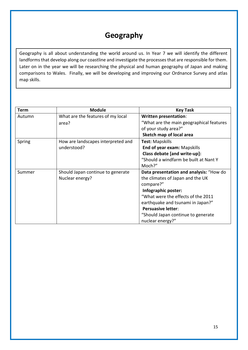# **Geography**

Geography is all about understanding the world around us. In Year 7 we will identify the different landforms that develop along our coastline and investigate the processes that are responsible for them. Later on in the year we will be researching the physical and human geography of Japan and making comparisons to Wales. Finally, we will be developing and improving our Ordnance Survey and atlas map skills.

| <b>Term</b> | <b>Module</b>                      | <b>Key Task</b>                          |
|-------------|------------------------------------|------------------------------------------|
| Autumn      | What are the features of my local  | <b>Written presentation:</b>             |
|             | area?                              | "What are the main geographical features |
|             |                                    | of your study area?"                     |
|             |                                    | Sketch map of local area                 |
| Spring      | How are landscapes interpreted and | <b>Test: Mapskills</b>                   |
|             | understood?                        | End of year exam: Mapskills              |
|             |                                    | Class debate [and write-up]:             |
|             |                                    | "Should a windfarm be built at Nant Y    |
|             |                                    | Moch?"                                   |
| Summer      | Should Japan continue to generate  | Data presentation and analysis: "How do  |
|             | Nuclear energy?                    | the climates of Japan and the UK         |
|             |                                    | compare?"                                |
|             |                                    | Infographic poster:                      |
|             |                                    | "What were the effects of the 2011       |
|             |                                    | earthquake and tsunami in Japan?"        |
|             |                                    | <b>Persuasive letter:</b>                |
|             |                                    | "Should Japan continue to generate       |
|             |                                    | nuclear energy?"                         |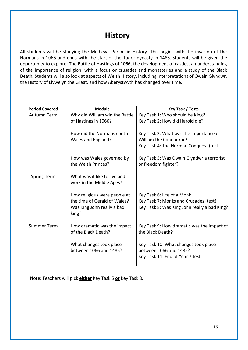## **History**

All students will be studying the Medieval Period in History. This begins with the invasion of the Normans in 1066 and ends with the start of the Tudor dynasty in 1485. Students will be given the opportunity to explore: The Battle of Hastings of 1066, the development of castles, an understanding of the importance of religion, with a focus on crusades and monasteries and a study of the Black Death. Students will also look at aspects of Welsh History, including interpretations of Owain Glyndwr, the History of Llywelyn the Great, and how Aberystwyth has changed over time.

| <b>Period Covered</b> | <b>Module</b>                                   | <b>Key Task / Tests</b>                                          |
|-----------------------|-------------------------------------------------|------------------------------------------------------------------|
| Autumn Term           | Why did William win the Battle                  | Key Task 1: Who should be King?                                  |
|                       | of Hastings in 1066?                            | Key Task 2: How did Harold die?                                  |
|                       |                                                 |                                                                  |
|                       | How did the Normans control                     | Key Task 3: What was the importance of                           |
|                       | Wales and England?                              | William the Conqueror?                                           |
|                       |                                                 | Key Task 4: The Norman Conquest (test)                           |
|                       | How was Wales governed by<br>the Welsh Princes? | Key Task 5: Was Owain Glyndwr a terrorist<br>or freedom fighter? |
| <b>Spring Term</b>    | What was it like to live and                    |                                                                  |
|                       | work in the Middle Ages?                        |                                                                  |
|                       |                                                 |                                                                  |
|                       | How religious were people at                    | Key Task 6: Life of a Monk                                       |
|                       | the time of Gerald of Wales?                    | Key Task 7: Monks and Crusades (test)                            |
|                       | Was King John really a bad                      | Key Task 8: Was King John really a bad King?                     |
|                       | king?                                           |                                                                  |
| <b>Summer Term</b>    | How dramatic was the impact                     | Key Task 9: How dramatic was the impact of                       |
|                       | of the Black Death?                             | the Black Death?                                                 |
|                       |                                                 |                                                                  |
|                       | What changes took place                         | Key Task 10: What changes took place                             |
|                       | between 1066 and 1485?                          | between 1066 and 1485?                                           |
|                       |                                                 | Key Task 11: End of Year 7 test                                  |
|                       |                                                 |                                                                  |

Note: Teachers will pick **either** Key Task 5 **or** Key Task 8.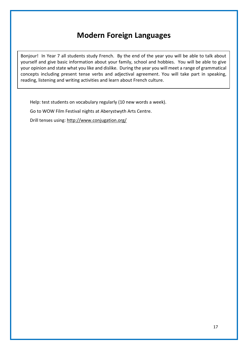## **Modern Foreign Languages**

Bonjour! In Year 7 all students study French. By the end of the year you will be able to talk about yourself and give basic information about your family, school and hobbies. You will be able to give your opinion and state what you like and dislike. During the year you will meet a range of grammatical concepts including present tense verbs and adjectival agreement. You will take part in speaking, reading, listening and writing activities and learn about French culture.

Help: test students on vocabulary regularly (10 new words a week).

Go to WOW Film Festival nights at Aberystwyth Arts Centre.

Drill tenses using:<http://www.conjugation.org/>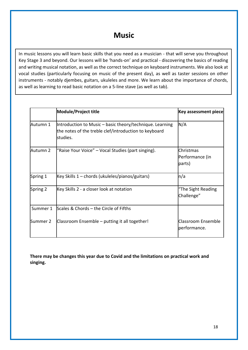## **Music**

In music lessons you will learn basic skills that you need as a musician - that will serve you throughout Key Stage 3 and beyond. Our lessons will be 'hands-on' and practical - discovering the basics of reading and writing musical notation, as well as the correct technique on keyboard instruments. We also look at vocal studies (particularly focusing on music of the present day), as well as taster sessions on other instruments - notably djembes, guitars, ukuleles and more. We learn about the importance of chords, as well as learning to read basic notation on a 5-line stave (as well as tab).

|          | <b>Module/Project title</b>                                                                                                   | <b>Key assessment piece</b>               |
|----------|-------------------------------------------------------------------------------------------------------------------------------|-------------------------------------------|
| Autumn 1 | Introduction to Music - basic theory/technique. Learning<br>the notes of the treble clef/introduction to keyboard<br>studies. | N/A                                       |
| Autumn 2 | "Raise Your Voice" - Vocal Studies (part singing).                                                                            | Christmas<br>Performance (in<br>parts)    |
| Spring 1 | Key Skills 1 – chords (ukuleles/pianos/guitars)                                                                               | ln/a                                      |
| Spring 2 | Key Skills 2 - a closer look at notation                                                                                      | "The Sight Reading<br>Challenge"          |
| Summer 1 | Scales & Chords - the Circle of Fifths                                                                                        |                                           |
| Summer 2 | Classroom Ensemble – putting it all together!                                                                                 | <b>Classroom Ensemble</b><br>performance. |

**There may be changes this year due to Covid and the limitations on practical work and singing.**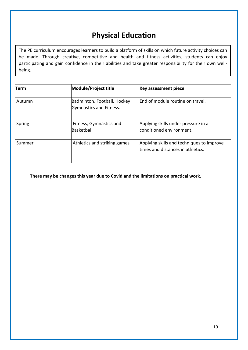# **Physical Education**

The PE curriculum encourages learners to build a platform of skills on which future activity choices can be made. Through creative, competitive and health and fitness activities, students can enjoy participating and gain confidence in their abilities and take greater responsibility for their own wellbeing.

| Term   | Module/Project title                                   | <b>Key assessment piece</b>                                                    |
|--------|--------------------------------------------------------|--------------------------------------------------------------------------------|
| Autumn | Badminton, Football, Hockey<br>Gymnastics and Fitness. | End of module routine on travel.                                               |
| Spring | Fitness, Gymnastics and<br>Basketball                  | Applying skills under pressure in a<br>conditioned environment.                |
| Summer | Athletics and striking games                           | Applying skills and techniques to improve<br>times and distances in athletics. |

**There may be changes this year due to Covid and the limitations on practical work.**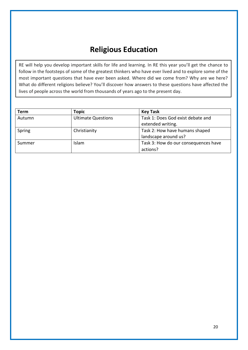# **Religious Education**

RE will help you develop important skills for life and learning. In RE this year you'll get the chance to follow in the footsteps of some of the greatest thinkers who have ever lived and to explore some of the most important questions that have ever been asked. Where did we come from? Why are we here? What do different religions believe? You'll discover how answers to these questions have affected the lives of people across the world from thousands of years ago to the present day.

| <b>Term</b> | <b>Topic</b>              | <b>Key Task</b>                      |
|-------------|---------------------------|--------------------------------------|
| Autumn      | <b>Ultimate Questions</b> | Task 1: Does God exist debate and    |
|             |                           | extended writing.                    |
| Spring      | Christianity              | Task 2: How have humans shaped       |
|             |                           | landscape around us?                 |
| Summer      | <b>Islam</b>              | Task 3: How do our consequences have |
|             |                           | actions?                             |